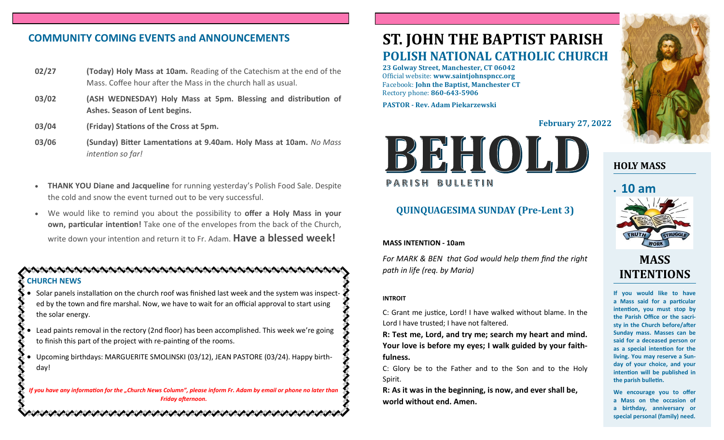# **COMMUNITY COMING EVENTS and ANNOUNCEMENTS**

- **02/27 (Today) Holy Mass at 10am.** Reading of the Catechism at the end of the Mass. Coffee hour after the Mass in the church hall as usual.
- **03/02 (ASH WEDNESDAY) Holy Mass at 5pm. Blessing and distribution of Ashes. Season of Lent begins.**
- **03/04 (Friday) Stations of the Cross at 5pm.**
- **03/06 (Sunday) Bitter Lamentations at 9.40am. Holy Mass at 10am.** *No Mass intention so far!*
- **THANK YOU Diane and Jacqueline** for running yesterday's Polish Food Sale. Despite the cold and snow the event turned out to be very successful.
- We would like to remind you about the possibility to **offer a Holy Mass in your own, particular intention!** Take one of the envelopes from the back of the Church, write down your intention and return it to Fr. Adam. **Have a blessed week!**

### **CHURCH NEWS**

- Solar panels installation on the church roof was finished last week and the system was inspected by the town and fire marshal. Now, we have to wait for an official approval to start using the solar energy.
- Lead paints removal in the rectory (2nd floor) has been accomplished. This week we're going to finish this part of the project with re-painting of the rooms.
- Upcoming birthdays: MARGUERITE SMOLINSKI (03/12), JEAN PASTORE (03/24). Happy birthday!

*If you have any information for the "Church News Column", please inform Fr. Adam by email or phone no later than Friday afternoon.*

へんけいさいさいさいきょうけいきゅうけいきゅうけいきょうけいきゅう

# **ST. JOHN THE BAPTIST PARISH POLISH NATIONAL CATHOLIC CHURCH**

**23 Golway Street, Manchester, CT 06042** Official website: **www.saintjohnspncc.org** Facebook: **John the Baptist, Manchester CT** Rectory phone: **860-643-5906** 

**PASTOR - Rev. Adam Piekarzewski**

**February 27, 2022**



# **QUINQUAGESIMA SUNDAY (Pre-Lent 3)**

#### **MASS INTENTION - 10am**

*For MARK & BEN that God would help them find the right path in life (req. by Maria)*

#### **INTROIT**

C: Grant me justice, Lord! I have walked without blame. In the Lord I have trusted; I have not faltered.

**R: Test me, Lord, and try me; search my heart and mind. Your love is before my eyes; I walk guided by your faithfulness.**

C: Glory be to the Father and to the Son and to the Holy Spirit.

**R: As it was in the beginning, is now, and ever shall be, world without end. Amen.**



# **HOLY MASS**

# • **10 am**



# **MASS INTENTIONS**

**If you would like to have a Mass said for a particular intention, you must stop by the Parish Office or the sacristy in the Church before/after Sunday mass. Masses can be said for a deceased person or as a special intention for the living. You may reserve a Sunday of your choice, and your intention will be published in the parish bulletin.**

**We encourage you to offer a Mass on the occasion of a birthday, anniversary or special personal (family) need.**